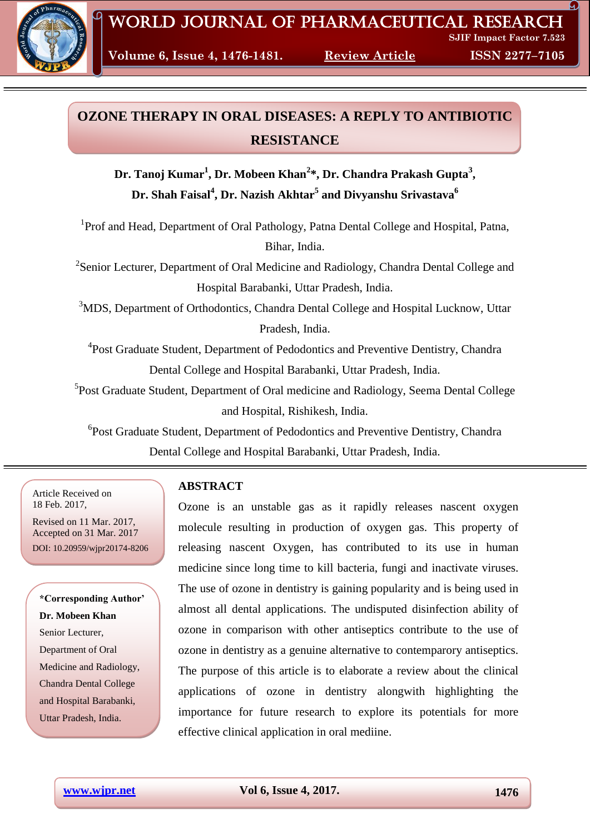

**Volume 6, Issue 4, 1476-1481. Review Article****ISSN 2277–7105**

# **OZONE THERAPY IN ORAL DISEASES: A REPLY TO ANTIBIOTIC RESISTANCE**

**Dr. Tanoj Kumar<sup>1</sup> , Dr. Mobeen Khan<sup>2</sup> \*, Dr. Chandra Prakash Gupta<sup>3</sup> , Dr. Shah Faisal<sup>4</sup> , Dr. Nazish Akhtar<sup>5</sup> and Divyanshu Srivastava<sup>6</sup>**

<sup>1</sup>Prof and Head, Department of Oral Pathology, Patna Dental College and Hospital, Patna, Bihar, India.

<sup>2</sup> Senior Lecturer, Department of Oral Medicine and Radiology, Chandra Dental College and Hospital Barabanki, Uttar Pradesh, India.

<sup>3</sup>MDS, Department of Orthodontics, Chandra Dental College and Hospital Lucknow, Uttar Pradesh, India.

<sup>4</sup> Post Graduate Student, Department of Pedodontics and Preventive Dentistry, Chandra Dental College and Hospital Barabanki, Uttar Pradesh, India.

<sup>5</sup>Post Graduate Student, Department of Oral medicine and Radiology, Seema Dental College and Hospital, Rishikesh, India.

6 Post Graduate Student, Department of Pedodontics and Preventive Dentistry, Chandra Dental College and Hospital Barabanki, Uttar Pradesh, India.

Article Received on 18 Feb. 2017,

Revised on 11 Mar. 2017, Accepted on 31 Mar. 2017 DOI: 10.20959/wjpr20174-8206

## **\*Corresponding Author' Dr. Mobeen Khan** Senior Lecturer, Department of Oral Medicine and Radiology, Chandra Dental College and Hospital Barabanki, Uttar Pradesh, India.

## **ABSTRACT**

Ozone is an unstable gas as it rapidly releases nascent oxygen molecule resulting in production of oxygen gas. This property of releasing nascent Oxygen, has contributed to its use in human medicine since long time to kill bacteria, fungi and inactivate viruses. The use of ozone in dentistry is gaining popularity and is being used in almost all dental applications. The undisputed disinfection ability of ozone in comparison with other antiseptics contribute to the use of ozone in dentistry as a genuine alternative to contemparory antiseptics. The purpose of this article is to elaborate a review about the clinical applications of ozone in dentistry alongwith highlighting the importance for future research to explore its potentials for more effective clinical application in oral mediine.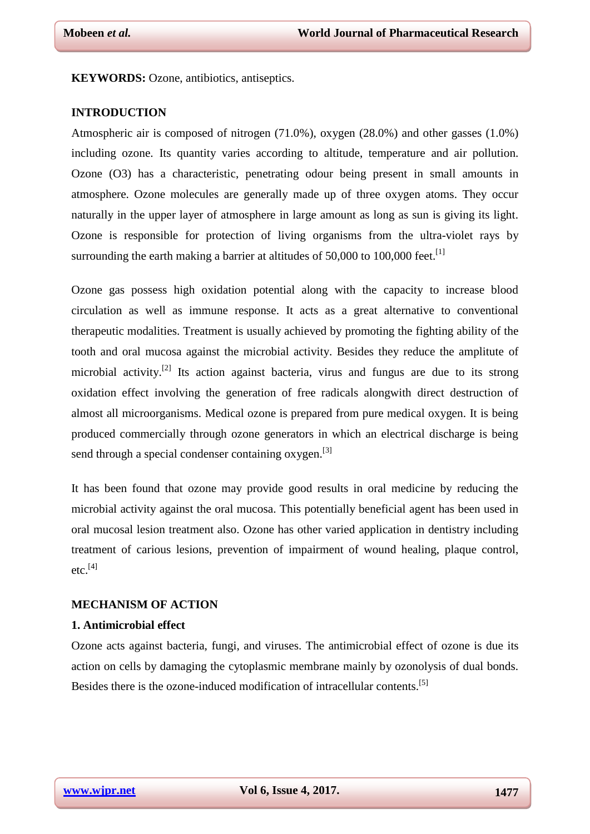**KEYWORDS:** Ozone, antibiotics, antiseptics.

#### **INTRODUCTION**

Atmospheric air is composed of nitrogen (71.0%), oxygen (28.0%) and other gasses (1.0%) including ozone. Its quantity varies according to altitude, temperature and air pollution. Ozone (O3) has a characteristic, penetrating odour being present in small amounts in atmosphere. Ozone molecules are generally made up of three oxygen atoms. They occur naturally in the upper layer of atmosphere in large amount as long as sun is giving its light. Ozone is responsible for protection of living organisms from the ultra-violet rays by surrounding the earth making a barrier at altitudes of 50,000 to 100,000 feet.<sup>[1]</sup>

Ozone gas possess high oxidation potential along with the capacity to increase blood circulation as well as immune response. It acts as a great alternative to conventional therapeutic modalities. Treatment is usually achieved by promoting the fighting ability of the tooth and oral mucosa against the microbial activity. Besides they reduce the amplitute of microbial activity.<sup>[2]</sup> Its action against bacteria, virus and fungus are due to its strong oxidation effect involving the generation of free radicals alongwith direct destruction of almost all microorganisms. Medical ozone is prepared from pure medical oxygen. It is being produced commercially through ozone generators in which an electrical discharge is being send through a special condenser containing oxygen.<sup>[3]</sup>

It has been found that ozone may provide good results in oral medicine by reducing the microbial activity against the oral mucosa. This potentially beneficial agent has been used in oral mucosal lesion treatment also. Ozone has other varied application in dentistry including treatment of carious lesions, prevention of impairment of wound healing, plaque control,  $etc.$ <sup>[4]</sup>

## **MECHANISM OF ACTION**

#### **1. Antimicrobial effect**

Ozone acts against bacteria, fungi, and viruses. The antimicrobial effect of ozone is due its action on cells by damaging the cytoplasmic membrane mainly by ozonolysis of dual bonds. Besides there is the ozone-induced modification of intracellular contents.<sup>[5]</sup>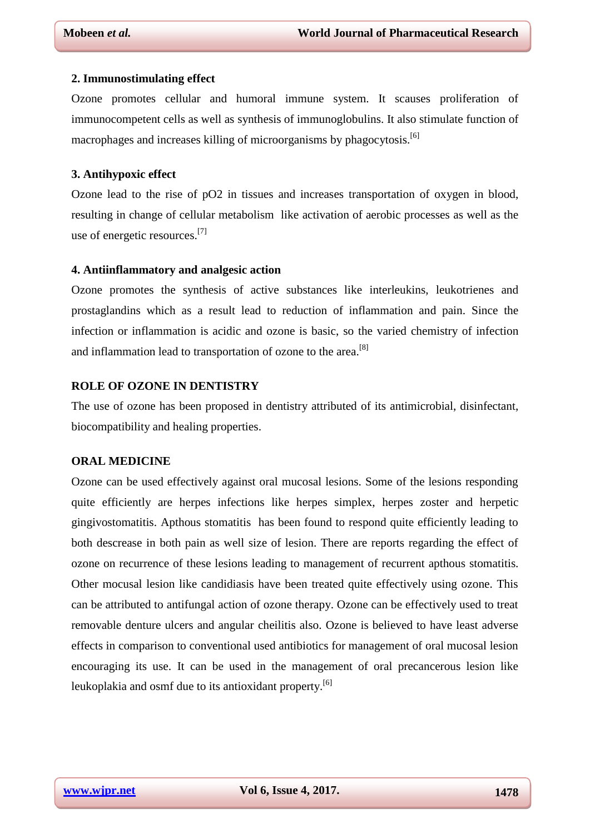#### **2. Immunostimulating effect**

Ozone promotes cellular and humoral immune system. It scauses proliferation of immunocompetent cells as well as synthesis of immunoglobulins. It also stimulate function of macrophages and increases killing of microorganisms by phagocytosis.[6]

#### **3. Antihypoxic effect**

Ozone lead to the rise of pO2 in tissues and increases transportation of oxygen in blood, resulting in change of cellular metabolism like activation of aerobic processes as well as the use of energetic resources.[7]

#### **4. Antiinflammatory and analgesic action**

Ozone promotes the synthesis of active substances like interleukins, leukotrienes and prostaglandins which as a result lead to reduction of inflammation and pain. Since the infection or inflammation is acidic and ozone is basic, so the varied chemistry of infection and inflammation lead to transportation of ozone to the area.<sup>[8]</sup>

## **ROLE OF OZONE IN DENTISTRY**

The use of ozone has been proposed in dentistry attributed of its antimicrobial, disinfectant, biocompatibility and healing properties.

#### **ORAL MEDICINE**

Ozone can be used effectively against oral mucosal lesions. Some of the lesions responding quite efficiently are herpes infections like herpes simplex, herpes zoster and herpetic gingivostomatitis. Apthous stomatitis has been found to respond quite efficiently leading to both descrease in both pain as well size of lesion. There are reports regarding the effect of ozone on recurrence of these lesions leading to management of recurrent apthous stomatitis. Other mocusal lesion like candidiasis have been treated quite effectively using ozone. This can be attributed to antifungal action of ozone therapy. Ozone can be effectively used to treat removable denture ulcers and angular cheilitis also. Ozone is believed to have least adverse effects in comparison to conventional used antibiotics for management of oral mucosal lesion encouraging its use. It can be used in the management of oral precancerous lesion like leukoplakia and osmf due to its antioxidant property.<sup>[6]</sup>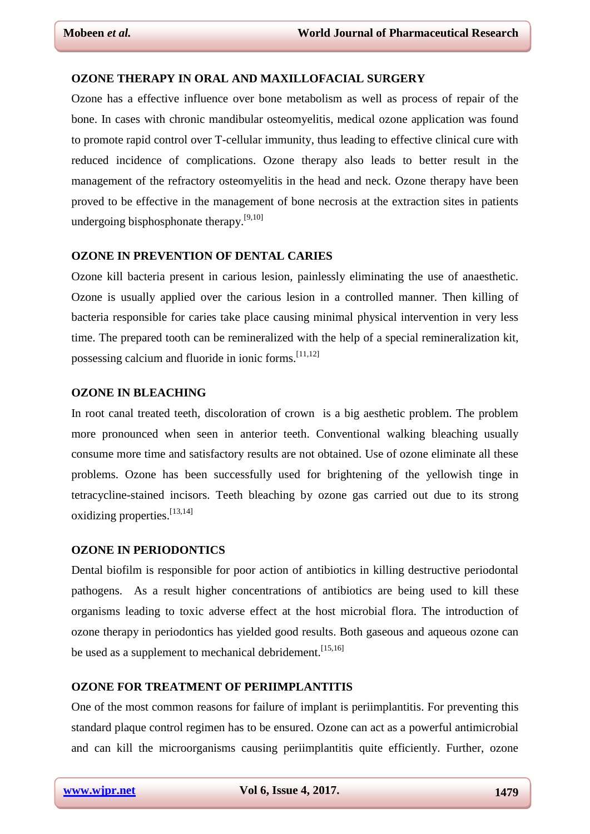## **OZONE THERAPY IN ORAL AND MAXILLOFACIAL SURGERY**

Ozone has a effective influence over bone metabolism as well as process of repair of the bone. In cases with chronic mandibular osteomyelitis, medical ozone application was found to promote rapid control over T-cellular immunity, thus leading to effective clinical cure with reduced incidence of complications. Ozone therapy also leads to better result in the management of the refractory osteomyelitis in the head and neck. Ozone therapy have been proved to be effective in the management of bone necrosis at the extraction sites in patients undergoing bisphosphonate therapy.<sup>[9,10]</sup>

## **OZONE IN PREVENTION OF DENTAL CARIES**

Ozone kill bacteria present in carious lesion, painlessly eliminating the use of anaesthetic. Ozone is usually applied over the carious lesion in a controlled manner. Then killing of bacteria responsible for caries take place causing minimal physical intervention in very less time. The prepared tooth can be remineralized with the help of a special remineralization kit, possessing calcium and fluoride in ionic forms.[11,12]

#### **OZONE IN BLEACHING**

In root canal treated teeth, discoloration of crown is a big aesthetic problem. The problem more pronounced when seen in anterior teeth. Conventional walking bleaching usually consume more time and satisfactory results are not obtained. Use of ozone eliminate all these problems. Ozone has been successfully used for brightening of the yellowish tinge in tetracycline-stained incisors. Teeth bleaching by ozone gas carried out due to its strong oxidizing properties.[13,14]

#### **OZONE IN PERIODONTICS**

Dental biofilm is responsible for poor action of antibiotics in killing destructive periodontal pathogens. As a result higher concentrations of antibiotics are being used to kill these organisms leading to toxic adverse effect at the host microbial flora. The introduction of [ozone therapy](https://www.austinozone.com) in periodontics has yielded good results. Both gaseous and aqueous ozone can be used as a supplement to mechanical debridement.<sup>[15,16]</sup>

### **OZONE FOR TREATMENT OF PERIIMPLANTITIS**

One of the most common reasons for failure of implant is periimplantitis. For preventing this standard plaque control regimen has to be ensured. Ozone can act as a powerful antimicrobial and can kill the microorganisms causing periimplantitis quite efficiently. Further, ozone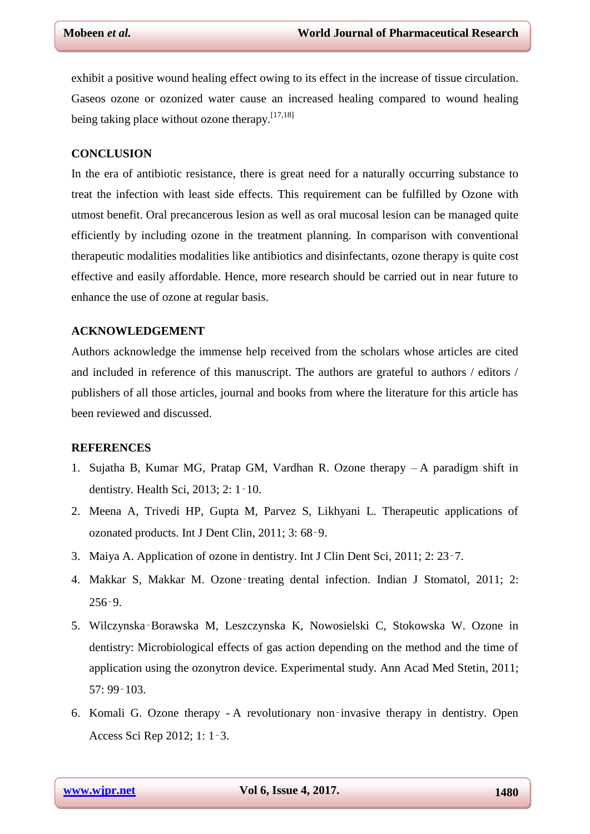exhibit a positive wound healing effect owing to its effect in the increase of tissue circulation. Gaseos ozone or ozonized water cause an increased healing compared to wound healing being taking place without ozone therapy.<sup>[17,18]</sup>

### **CONCLUSION**

In the era of antibiotic resistance, there is great need for a naturally occurring substance to treat the infection with least side effects. This requirement can be fulfilled by Ozone with utmost benefit. Oral precancerous lesion as well as oral mucosal lesion can be managed quite efficiently by including ozone in the treatment planning. In comparison with conventional therapeutic modalities modalities like antibiotics and disinfectants, ozone therapy is quite cost effective and easily affordable. Hence, more research should be carried out in near future to enhance the use of ozone at regular basis.

#### **ACKNOWLEDGEMENT**

Authors acknowledge the immense help received from the scholars whose articles are cited and included in reference of this manuscript. The authors are grateful to authors / editors / publishers of all those articles, journal and books from where the literature for this article has been reviewed and discussed.

#### **REFERENCES**

- 1. Sujatha B, Kumar MG, Pratap GM, Vardhan R. Ozone therapy A paradigm shift in dentistry. Health Sci, 2013; 2: 1‑10.
- 2. Meena A, Trivedi HP, Gupta M, Parvez S, Likhyani L. Therapeutic applications of ozonated products. Int J Dent Clin, 2011; 3: 68‑9.
- 3. Maiya A. Application of ozone in dentistry. Int J Clin Dent Sci, 2011; 2: 23‑7.
- 4. Makkar S, Makkar M. Ozone‑treating dental infection. Indian J Stomatol, 2011; 2: 256‑9.
- 5. Wilczynska‑Borawska M, Leszczynska K, Nowosielski C, Stokowska W. Ozone in dentistry: Microbiological effects of gas action depending on the method and the time of application using the ozonytron device. Experimental study. Ann Acad Med Stetin, 2011; 57: 99‑103.
- 6. Komali G. Ozone therapy A revolutionary non‑invasive therapy in dentistry. Open Access Sci Rep 2012; 1: 1‑3.